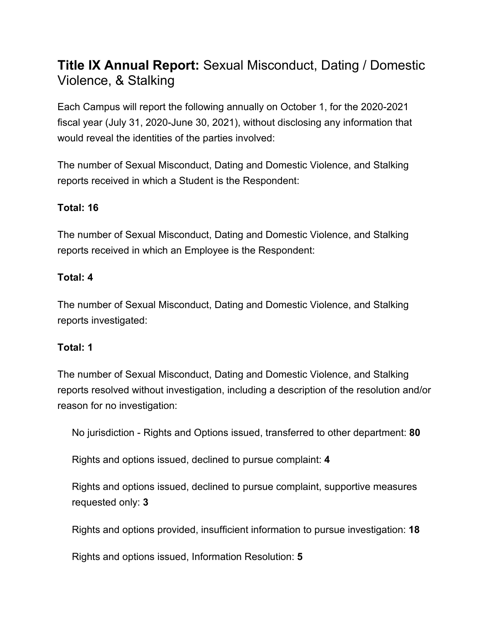# **Title IX Annual Report:** Sexual Misconduct, Dating / Domestic Violence, & Stalking

Each Campus will report the following annually on October 1, for the 2020-2021 fiscal year (July 31, 2020-June 30, 2021), without disclosing any information that would reveal the identities of the parties involved:

The number of Sexual Misconduct, Dating and Domestic Violence, and Stalking reports received in which a Student is the Respondent:

## **Total: 16**

The number of Sexual Misconduct, Dating and Domestic Violence, and Stalking reports received in which an Employee is the Respondent:

#### **Total: 4**

The number of Sexual Misconduct, Dating and Domestic Violence, and Stalking reports investigated:

#### **Total: 1**

The number of Sexual Misconduct, Dating and Domestic Violence, and Stalking reports resolved without investigation, including a description of the resolution and/or reason for no investigation:

No jurisdiction - Rights and Options issued, transferred to other department: **80**

Rights and options issued, declined to pursue complaint: **4**

Rights and options issued, declined to pursue complaint, supportive measures requested only: **3**

Rights and options provided, insufficient information to pursue investigation: **18**

Rights and options issued, Information Resolution: **5**